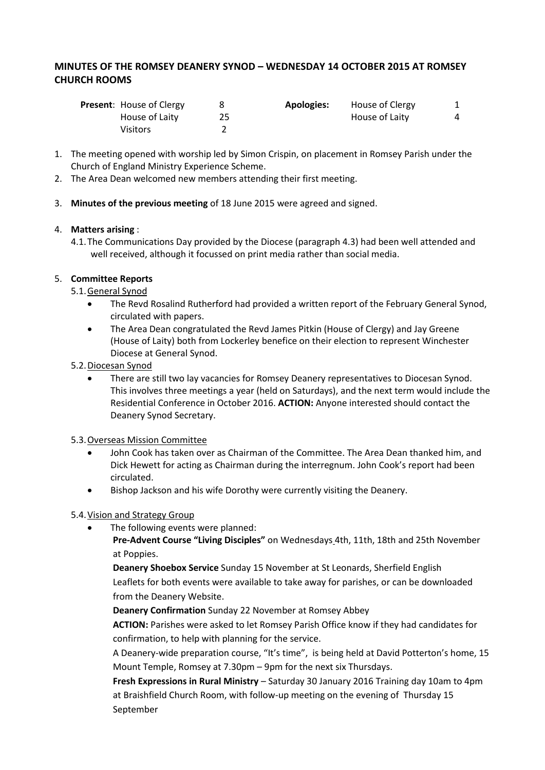# **MINUTES OF THE ROMSEY DEANERY SYNOD – WEDNESDAY 14 OCTOBER 2015 AT ROMSEY CHURCH ROOMS**

| <b>Present:</b> House of Clergy | <b>Apologies:</b> | House of Clergy |  |
|---------------------------------|-------------------|-----------------|--|
| House of Laity                  |                   | House of Laity  |  |
| Visitors                        |                   |                 |  |

- 1. The meeting opened with worship led by Simon Crispin, on placement in Romsey Parish under the Church of England Ministry Experience Scheme.
- 2. The Area Dean welcomed new members attending their first meeting.
- 3. **Minutes of the previous meeting** of 18 June 2015 were agreed and signed.

## 4. **Matters arising** :

4.1.The Communications Day provided by the Diocese (paragraph 4.3) had been well attended and well received, although it focussed on print media rather than social media.

# 5. **Committee Reports**

- 5.1.General Synod
	- The Revd Rosalind Rutherford had provided a written report of the February General Synod, circulated with papers.
	- The Area Dean congratulated the Revd James Pitkin (House of Clergy) and Jay Greene (House of Laity) both from Lockerley benefice on their election to represent Winchester Diocese at General Synod.
- 5.2.Diocesan Synod
	- There are still two lay vacancies for Romsey Deanery representatives to Diocesan Synod. This involves three meetings a year (held on Saturdays), and the next term would include the Residential Conference in October 2016. **ACTION:** Anyone interested should contact the Deanery Synod Secretary.

#### 5.3.Overseas Mission Committee

- John Cook has taken over as Chairman of the Committee. The Area Dean thanked him, and Dick Hewett for acting as Chairman during the interregnum. John Cook's report had been circulated.
- Bishop Jackson and his wife Dorothy were currently visiting the Deanery.

# 5.4. Vision and Strategy Group

The following events were planned:

**Pre-Advent Course "Living Disciples"** on Wednesdays 4th, 11th, 18th and 25th November at Poppies.

**Deanery Shoebox Service** Sunday 15 November at St Leonards, Sherfield English Leaflets for both events were available to take away for parishes, or can be downloaded from the Deanery Website.

**Deanery Confirmation** Sunday 22 November at Romsey Abbey

**ACTION:** Parishes were asked to let Romsey Parish Office know if they had candidates for confirmation, to help with planning for the service.

A Deanery-wide preparation course, "It's time", is being held at David Potterton's home, 15 Mount Temple, Romsey at 7.30pm – 9pm for the next six Thursdays.

**Fresh Expressions in Rural Ministry** – Saturday 30 January 2016 Training day 10am to 4pm at Braishfield Church Room, with follow-up meeting on the evening of Thursday 15 September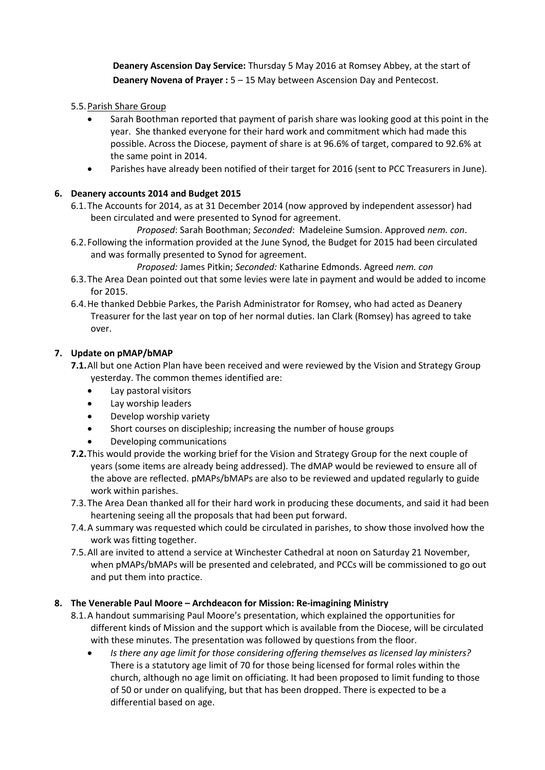**Deanery Ascension Day Service:** Thursday 5 May 2016 at Romsey Abbey, at the start of **Deanery Novena of Prayer :**  $5 - 15$  **May between Ascension Day and Pentecost.** 

## 5.5.Parish Share Group

- Sarah Boothman reported that payment of parish share was looking good at this point in the year. She thanked everyone for their hard work and commitment which had made this possible. Across the Diocese, payment of share is at 96.6% of target, compared to 92.6% at the same point in 2014.
- Parishes have already been notified of their target for 2016 (sent to PCC Treasurers in June).

## **6. Deanery accounts 2014 and Budget 2015**

- 6.1.The Accounts for 2014, as at 31 December 2014 (now approved by independent assessor) had been circulated and were presented to Synod for agreement.
	- *Proposed*: Sarah Boothman; *Seconded*: Madeleine Sumsion. Approved *nem. con*.
- 6.2.Following the information provided at the June Synod, the Budget for 2015 had been circulated and was formally presented to Synod for agreement.

*Proposed:* James Pitkin; *Seconded:* Katharine Edmonds. Agreed *nem. con*

- 6.3.The Area Dean pointed out that some levies were late in payment and would be added to income for 2015.
- 6.4.He thanked Debbie Parkes, the Parish Administrator for Romsey, who had acted as Deanery Treasurer for the last year on top of her normal duties. Ian Clark (Romsey) has agreed to take over.

## **7. Update on pMAP/bMAP**

- **7.1.**All but one Action Plan have been received and were reviewed by the Vision and Strategy Group yesterday. The common themes identified are:
	- Lay pastoral visitors
	- Lay worship leaders
	- Develop worship variety
	- Short courses on discipleship; increasing the number of house groups
	- Developing communications
- **7.2.**This would provide the working brief for the Vision and Strategy Group for the next couple of years (some items are already being addressed). The dMAP would be reviewed to ensure all of the above are reflected. pMAPs/bMAPs are also to be reviewed and updated regularly to guide work within parishes.
- 7.3.The Area Dean thanked all for their hard work in producing these documents, and said it had been heartening seeing all the proposals that had been put forward.
- 7.4.A summary was requested which could be circulated in parishes, to show those involved how the work was fitting together.
- 7.5.All are invited to attend a service at Winchester Cathedral at noon on Saturday 21 November, when pMAPs/bMAPs will be presented and celebrated, and PCCs will be commissioned to go out and put them into practice.

#### **8. The Venerable Paul Moore – Archdeacon for Mission: Re-imagining Ministry**

- 8.1.A handout summarising Paul Moore's presentation, which explained the opportunities for different kinds of Mission and the support which is available from the Diocese, will be circulated with these minutes. The presentation was followed by questions from the floor.
	- *Is there any age limit for those considering offering themselves as licensed lay ministers?* There is a statutory age limit of 70 for those being licensed for formal roles within the church, although no age limit on officiating. It had been proposed to limit funding to those of 50 or under on qualifying, but that has been dropped. There is expected to be a differential based on age.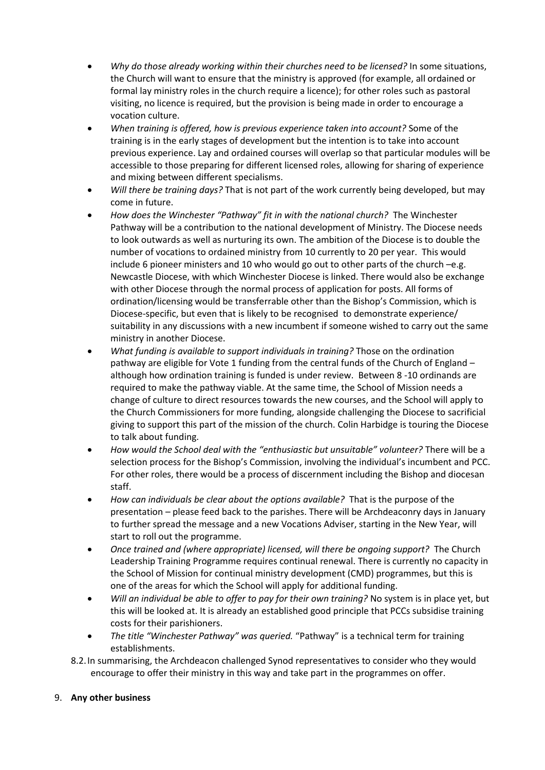- *Why do those already working within their churches need to be licensed?* In some situations, the Church will want to ensure that the ministry is approved (for example, all ordained or formal lay ministry roles in the church require a licence); for other roles such as pastoral visiting, no licence is required, but the provision is being made in order to encourage a vocation culture.
- *When training is offered, how is previous experience taken into account?* Some of the training is in the early stages of development but the intention is to take into account previous experience. Lay and ordained courses will overlap so that particular modules will be accessible to those preparing for different licensed roles, allowing for sharing of experience and mixing between different specialisms.
- *Will there be training days?* That is not part of the work currently being developed, but may come in future.
- *How does the Winchester "Pathway" fit in with the national church?* The Winchester Pathway will be a contribution to the national development of Ministry. The Diocese needs to look outwards as well as nurturing its own. The ambition of the Diocese is to double the number of vocations to ordained ministry from 10 currently to 20 per year. This would include 6 pioneer ministers and 10 who would go out to other parts of the church –e.g. Newcastle Diocese, with which Winchester Diocese is linked. There would also be exchange with other Diocese through the normal process of application for posts. All forms of ordination/licensing would be transferrable other than the Bishop's Commission, which is Diocese-specific, but even that is likely to be recognised to demonstrate experience/ suitability in any discussions with a new incumbent if someone wished to carry out the same ministry in another Diocese.
- *What funding is available to support individuals in training?* Those on the ordination pathway are eligible for Vote 1 funding from the central funds of the Church of England – although how ordination training is funded is under review. Between 8 -10 ordinands are required to make the pathway viable. At the same time, the School of Mission needs a change of culture to direct resources towards the new courses, and the School will apply to the Church Commissioners for more funding, alongside challenging the Diocese to sacrificial giving to support this part of the mission of the church. Colin Harbidge is touring the Diocese to talk about funding.
- *How would the School deal with the "enthusiastic but unsuitable" volunteer?* There will be a selection process for the Bishop's Commission, involving the individual's incumbent and PCC. For other roles, there would be a process of discernment including the Bishop and diocesan staff.
- *How can individuals be clear about the options available?* That is the purpose of the presentation – please feed back to the parishes. There will be Archdeaconry days in January to further spread the message and a new Vocations Adviser, starting in the New Year, will start to roll out the programme.
- *Once trained and (where appropriate) licensed, will there be ongoing support?* The Church Leadership Training Programme requires continual renewal. There is currently no capacity in the School of Mission for continual ministry development (CMD) programmes, but this is one of the areas for which the School will apply for additional funding.
- *Will an individual be able to offer to pay for their own training?* No system is in place yet, but this will be looked at. It is already an established good principle that PCCs subsidise training costs for their parishioners.
- *The title "Winchester Pathway" was queried.* "Pathway" is a technical term for training establishments.
- 8.2.In summarising, the Archdeacon challenged Synod representatives to consider who they would encourage to offer their ministry in this way and take part in the programmes on offer.

#### 9. **Any other business**